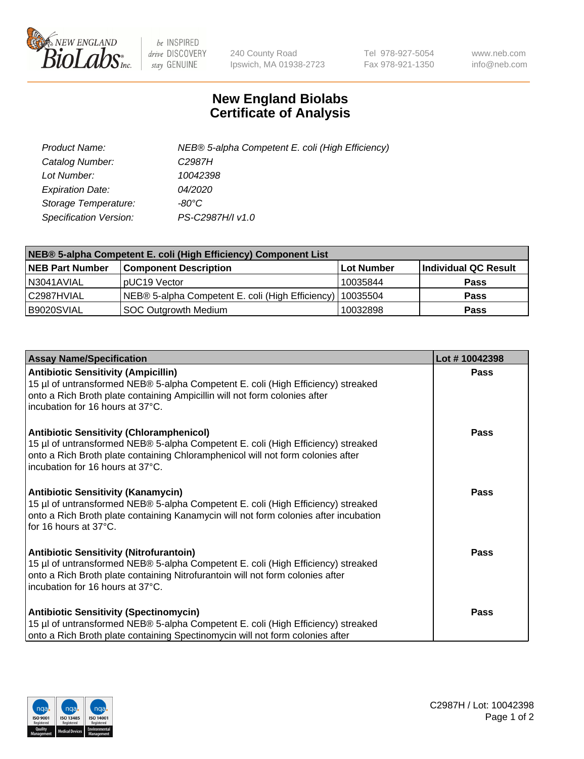

 $be$  INSPIRED drive DISCOVERY stay GENUINE

240 County Road Ipswich, MA 01938-2723 Tel 978-927-5054 Fax 978-921-1350 www.neb.com info@neb.com

## **New England Biolabs Certificate of Analysis**

| Product Name:           | NEB® 5-alpha Competent E. coli (High Efficiency) |
|-------------------------|--------------------------------------------------|
| Catalog Number:         | C <sub>2987</sub> H                              |
| Lot Number:             | 10042398                                         |
| <b>Expiration Date:</b> | <i>04/2020</i>                                   |
| Storage Temperature:    | -80°C                                            |
| Specification Version:  | PS-C2987H/I v1.0                                 |

| NEB® 5-alpha Competent E. coli (High Efficiency) Component List |                                                  |            |                      |  |
|-----------------------------------------------------------------|--------------------------------------------------|------------|----------------------|--|
| <b>NEB Part Number</b>                                          | <b>Component Description</b>                     | Lot Number | Individual QC Result |  |
| N3041AVIAL                                                      | pUC19 Vector                                     | 10035844   | <b>Pass</b>          |  |
| C2987HVIAL                                                      | NEB® 5-alpha Competent E. coli (High Efficiency) | 10035504   | <b>Pass</b>          |  |
| B9020SVIAL                                                      | <b>SOC Outgrowth Medium</b>                      | 10032898   | <b>Pass</b>          |  |

| <b>Assay Name/Specification</b>                                                                                                                                                                                                                            | Lot #10042398 |
|------------------------------------------------------------------------------------------------------------------------------------------------------------------------------------------------------------------------------------------------------------|---------------|
| <b>Antibiotic Sensitivity (Ampicillin)</b><br>15 µl of untransformed NEB® 5-alpha Competent E. coli (High Efficiency) streaked<br>onto a Rich Broth plate containing Ampicillin will not form colonies after<br>incubation for 16 hours at 37°C.           | <b>Pass</b>   |
| <b>Antibiotic Sensitivity (Chloramphenicol)</b><br>15 µl of untransformed NEB® 5-alpha Competent E. coli (High Efficiency) streaked<br>onto a Rich Broth plate containing Chloramphenicol will not form colonies after<br>incubation for 16 hours at 37°C. | <b>Pass</b>   |
| <b>Antibiotic Sensitivity (Kanamycin)</b><br>15 µl of untransformed NEB® 5-alpha Competent E. coli (High Efficiency) streaked<br>onto a Rich Broth plate containing Kanamycin will not form colonies after incubation<br>for 16 hours at 37°C.             | Pass          |
| <b>Antibiotic Sensitivity (Nitrofurantoin)</b><br>15 µl of untransformed NEB® 5-alpha Competent E. coli (High Efficiency) streaked<br>onto a Rich Broth plate containing Nitrofurantoin will not form colonies after<br>incubation for 16 hours at 37°C.   | Pass          |
| <b>Antibiotic Sensitivity (Spectinomycin)</b><br>15 µl of untransformed NEB® 5-alpha Competent E. coli (High Efficiency) streaked<br>onto a Rich Broth plate containing Spectinomycin will not form colonies after                                         | Pass          |